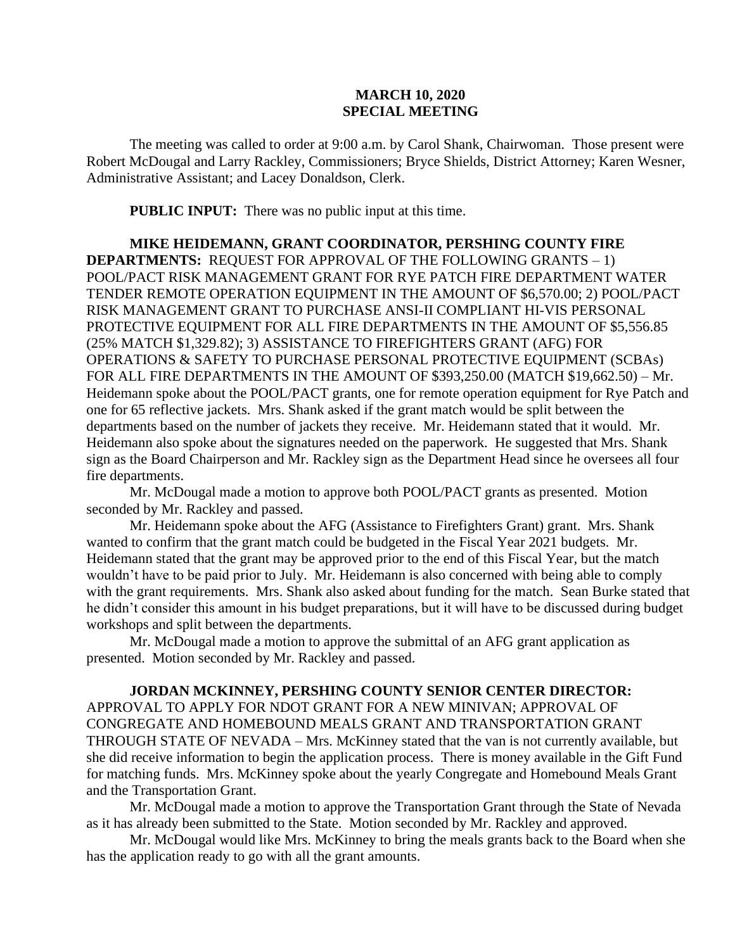## **MARCH 10, 2020 SPECIAL MEETING**

The meeting was called to order at 9:00 a.m. by Carol Shank, Chairwoman. Those present were Robert McDougal and Larry Rackley, Commissioners; Bryce Shields, District Attorney; Karen Wesner, Administrative Assistant; and Lacey Donaldson, Clerk.

**PUBLIC INPUT:** There was no public input at this time.

**MIKE HEIDEMANN, GRANT COORDINATOR, PERSHING COUNTY FIRE DEPARTMENTS:** REQUEST FOR APPROVAL OF THE FOLLOWING GRANTS – 1) POOL/PACT RISK MANAGEMENT GRANT FOR RYE PATCH FIRE DEPARTMENT WATER TENDER REMOTE OPERATION EQUIPMENT IN THE AMOUNT OF \$6,570.00; 2) POOL/PACT RISK MANAGEMENT GRANT TO PURCHASE ANSI-II COMPLIANT HI-VIS PERSONAL PROTECTIVE EQUIPMENT FOR ALL FIRE DEPARTMENTS IN THE AMOUNT OF \$5,556.85 (25% MATCH \$1,329.82); 3) ASSISTANCE TO FIREFIGHTERS GRANT (AFG) FOR OPERATIONS & SAFETY TO PURCHASE PERSONAL PROTECTIVE EQUIPMENT (SCBAs) FOR ALL FIRE DEPARTMENTS IN THE AMOUNT OF \$393,250.00 (MATCH \$19,662.50) – Mr. Heidemann spoke about the POOL/PACT grants, one for remote operation equipment for Rye Patch and one for 65 reflective jackets. Mrs. Shank asked if the grant match would be split between the departments based on the number of jackets they receive. Mr. Heidemann stated that it would. Mr. Heidemann also spoke about the signatures needed on the paperwork. He suggested that Mrs. Shank sign as the Board Chairperson and Mr. Rackley sign as the Department Head since he oversees all four fire departments.

Mr. McDougal made a motion to approve both POOL/PACT grants as presented. Motion seconded by Mr. Rackley and passed.

Mr. Heidemann spoke about the AFG (Assistance to Firefighters Grant) grant. Mrs. Shank wanted to confirm that the grant match could be budgeted in the Fiscal Year 2021 budgets. Mr. Heidemann stated that the grant may be approved prior to the end of this Fiscal Year, but the match wouldn't have to be paid prior to July. Mr. Heidemann is also concerned with being able to comply with the grant requirements. Mrs. Shank also asked about funding for the match. Sean Burke stated that he didn't consider this amount in his budget preparations, but it will have to be discussed during budget workshops and split between the departments.

Mr. McDougal made a motion to approve the submittal of an AFG grant application as presented. Motion seconded by Mr. Rackley and passed.

**JORDAN MCKINNEY, PERSHING COUNTY SENIOR CENTER DIRECTOR:**  APPROVAL TO APPLY FOR NDOT GRANT FOR A NEW MINIVAN; APPROVAL OF CONGREGATE AND HOMEBOUND MEALS GRANT AND TRANSPORTATION GRANT THROUGH STATE OF NEVADA – Mrs. McKinney stated that the van is not currently available, but she did receive information to begin the application process. There is money available in the Gift Fund for matching funds. Mrs. McKinney spoke about the yearly Congregate and Homebound Meals Grant and the Transportation Grant.

Mr. McDougal made a motion to approve the Transportation Grant through the State of Nevada as it has already been submitted to the State. Motion seconded by Mr. Rackley and approved.

Mr. McDougal would like Mrs. McKinney to bring the meals grants back to the Board when she has the application ready to go with all the grant amounts.